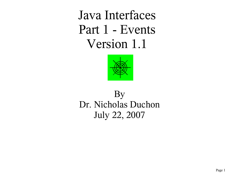Java Interfaces Part 1 - Events Version 1.1



# By Dr. Nicholas Duchon July 22, 2007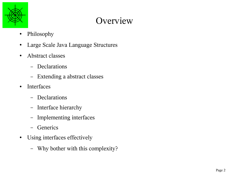

# **Overview**

- Philosophy
- Large Scale Java Language Structures
- Abstract classes
	- Declarations
	- Extending a abstract classes
- Interfaces
	- Declarations
	- Interface hierarchy
	- Implementing interfaces
	- Generics
- Using interfaces effectively
	- Why bother with this complexity?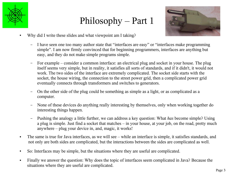

# Philosophy – Part 1



- Why did I write these slides and what viewpoint am I taking?
	- I have seen one too many author state that "interfaces are easy" or "interfaces make programming simple". I am now firmly convinced that for beginning programmers, interfaces are anything but easy, and they do not make simple programs simple.
	- For example consider a common interface: an electrical plug and socket in your house. The plug itself seems very simple, but in reality, it satisfies all sorts of standards, and if it didn't, it would not work. The two sides of the interface are extremely complicated. The socket side starts with the socket, the house wiring, the connection to the street power grid, then a complicated power grid eventually connects through transformers and switches to generators.
	- On the other side of the plug could be something as simple as a light, or as complicated as a computer.
	- None of these devices do anything really interesting by themselves, only when working together do interesting things happen.
	- Pushing the analogy a little further, we can address a key question: What *has* become simple? Using a plug is simple. Just find a socket that matches – in your house, at your job, on the road, pretty much anywhere – plug your device in, and, magic, it works!
- The same is true for Java interfaces, as we will see while an interface is simple, it satisfies standards, and not only are both sides are complicated, but the interactions between the sides are complicated as well.
- So: Interfaces may be simple, but the situations where they are useful are complicated.
- Finally we answer the question: Why does the topic of interfaces seem complicated in Java? Because the situations where they are useful are complicated.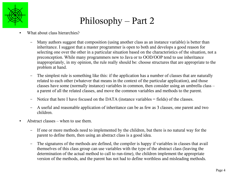

# Philosophy – Part 2

- What about class hierarchies?
	- Many authors suggest that composition (using another class as an instance variable) is better than inheritance. I suggest that a master programmer is open to both and develops a good reason for selecting one over the other in a particular situation based on the characteristics of the situation, not a preconception. While many programmers new to Java or to OOD/OOP tend to use inheritance inappropriately, in my opinion, the rule really should be: choose structures that are appropriate to the problem at hand.
	- The simplest rule is something like this: if the application has a number of classes that are naturally related to each other (whatever that means in the context of the particular application), and those classes have some (normally instance) variables in common, then consider using an umbrella class – a parent of all the related classes, and move the common variables and methods to the parent.
	- Notice that here I have focused on the DATA (instance variables = fields) of the classes.
	- A useful and reasonable application of inheritance can be as few as 3 classes, one parent and two children.
- $\bullet$  Abstract classes when to use them.
	- If one or more methods need to implemented by the children, but there is no natural way for the parent to define them, then using an abstract class is a good idea.
	- The signatures of the methods are defined, the compiler is happy if variables in classes that avail themselves of this class group can use variables with the type of the abstract class (leaving the determination of the actual method to call to run-time), the children implement the appropriate version of the methods, and the parent has not had to define worthless and misleading methods.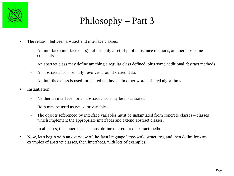

# Philosophy – Part 3

- The relation between abstract and interface classes.
	- An interface (interface class) defines only a set of public instance methods, and perhaps some constants.
	- An abstract class may define anything a regular class defined, plus some additional abstract methods.
	- An abstract class normally revolves around shared data.
	- An interface class is used for shared methods in other words, shared algorithms.
- Instantiation
	- Neither an interface nor an abstract class may be instantiated.
	- Both may be used as types for variables.
	- The objects referenced by interface variables must be instantiated from concrete classes classes which implement the appropriate interfaces and extend abstract classes.
	- In all cases, the concrete class must define the required abstract methods.
- Now, let's begin with an overview of the Java language large-scale structures, and then definitions and examples of abstract classes, then interfaces, with lots of examples.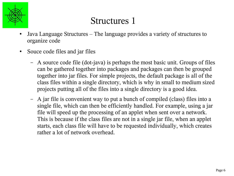

- Java Language Structures The language provides a variety of structures to organize code
- Souce code files and jar files
	- A source code file (dot-java) is perhaps the most basic unit. Groups of files can be gathered together into packages and packages can then be grouped together into jar files. For simple projects, the default package is all of the class files within a single directory, which is why in small to medium sized projects putting all of the files into a single directory is a good idea.
	- A jar file is convenient way to put a bunch of compiled (class) files into a single file, which can then be efficiently handled. For example, using a jar file will speed up the processing of an applet when sent over a network. This is because if the class files are not in a single jar file, when an applet starts, each class file will have to be requested individually, which creates rather a lot of network overhead.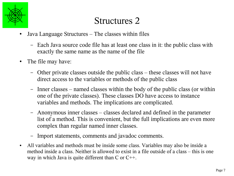

- Java Language Structures The classes within files
	- Each Java source code file has at least one class in it: the public class with exactly the same name as the name of the file
- The file may have:
	- Other private classes outside the public class these classes will not have direct access to the variables or methods of the public class
	- Inner classes named classes within the body of the public class (or within one of the private classes). These classes DO have access to instance variables and methods. The implications are complicated.
	- Anonymous inner classes classes declared and defined in the parameter list of a method. This is convenient, but the full implications are even more complex than regular named inner classes.
	- Import statements, comments and javadoc comments.
- All variables and methods must be inside some class. Variables may also be inside a method inside a class. Neither is allowed to exist in a file outside of a class – this is one way in which Java is quite different than C or C++.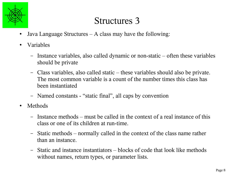

- Java Language Structures  $A$  class may have the following:
- Variables
	- Instance variables, also called dynamic or non-static often these variables should be private
	- Class variables, also called static these variables should also be private. The most common variable is a count of the number times this class has been instantiated
	- Named constants "static final", all caps by convention
- Methods
	- Instance methods must be called in the context of a real instance of this class or one of its children at run-time.
	- Static methods normally called in the context of the class name rather than an instance.
	- Static and instance instantiators blocks of code that look like methods without names, return types, or parameter lists.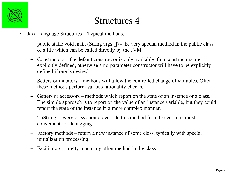

- Java Language Structures Typical methods:
	- public static void main (String args []) the very special method in the public class of a file which can be called directly by the JVM.
	- Constructors the default constructor is only available if no constructors are explicitly defined, otherwise a no-parameter constructor will have to be explicitly defined if one is desired.
	- Setters or mutators methods will allow the controlled change of variables. Often these methods perform various rationality checks.
	- Getters or accessors methods which report on the state of an instance or a class. The simple approach is to report on the value of an instance variable, but they could report the state of the instance in a more complex manner.
	- ToString every class should override this method from Object, it is most convenient for debugging.
	- Factory methods return a new instance of some class, typically with special initialization processing.
	- Facilitators pretty much any other method in the class.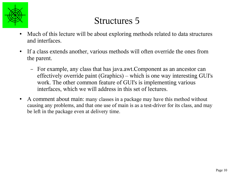

- Much of this lecture will be about exploring methods related to data structures and interfaces.
- If a class extends another, various methods will often override the ones from the parent.
	- For example, any class that has java.awt.Component as an ancestor can effectively override paint (Graphics) – which is one way interesting GUI's work. The other common feature of GUI's is implementing various interfaces, which we will address in this set of lectures.
- A comment about main: many classes in a package may have this method without causing any problems, and that one use of main is as a test-driver for its class, and may be left in the package even at delivery time.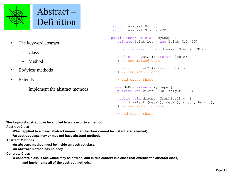

Abstract – Definition

- The keyword abstract
	- Class
	- Method
- Bodyless methods
- Extends
	- Implement the abstract methods

```
import java.awt.Point; 
import java.awt.Graphics2D;
public abstract class MyShape {
    private Point loc = new Point (10, 20);
    public abstract void drawme (Graphics2D g);
   public int getX () {return loc.x;
   } // end method getX
   public int getY () {return loc.y;
    } // end method getY
} // end class Shape
class MyBox extends MyShape {
   private int width = 30, height = 40;
    public void drawme (Graphics2D g) {
       g.drawRect (getX(), getY(), width, height);
    } // end method drawme
} // end class Shape
```
The keyword abstract can be applied to a class or to a method.

Abstract Class

➢When applied to a class, abstract means that the class cannot be instantiated (new'ed).

➢An abstract class may or may not have abstract methods.

#### Abstract Methods

➢An abstract method must be inside an abstract class.

➢An abstract method has no body.

#### Concrete Class

➢A concrete class is one which may be new'ed, and in this context is a class that extends the abstract class, and implements all of the abstract methods.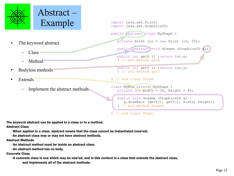

Abstract – Example import java.awt.Point;

- The keyword abstract
	- Class
	- Method
- Bodyless methods
- **Extends** 
	- Implement the abstract methods

import java.awt.Graphics2D; public abstract class MyShape { private Point loc = new Point (10, 20); public abstract void drawme (Graphics2D g); J public int getX () {return loc.x; } // end method getX public int getY () {return loc.y; } // end method getY } // end class Shape class MyBox extends MyShape { private int width =  $30$ , height =  $40$ ; i. public void drawme (Graphics2D g) { g.drawRect (getX(), getY(), width, height); } // end method drawme

} // end class Shape

The keyword abstract can be applied to a class or to a method.

Abstract Class

➢When applied to a class, abstract means that the class cannot be instantiated (new'ed).

➢An abstract class may or may not have abstract methods.

#### Abstract Methods

➢An abstract method must be inside an abstract class.

➢An abstract method has no body.

#### Concrete Class

➢A concrete class is one which may be new'ed, and in this context is a class that extends the abstract class, and implements all of the abstract methods.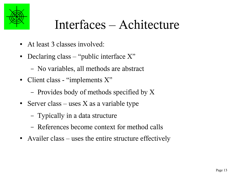

# Interfaces – Achitecture

- At least 3 classes involved:
- Declaring class "public interface  $X$ "
	- No variables, all methods are abstract
- Client class "implements X"
	- Provides body of methods specified by X
- Server class uses  $X$  as a variable type
	- Typically in a data structure
	- References become context for method calls
- Availer class uses the entire structure effectively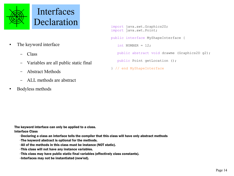

- The keyword interface
	- Class
	- Variables are all public static final
	- Abstract Methods
	- ALL methods are abstract
- Bodyless methods

```
import java.awt.Graphics2D;
import java.awt.Point;
public interface MyShapeInterface {
  int NUMBER = 12; public abstract void drawme (Graphics2D g2);
   public Point getLocation ();
```

```
} // end MyShapeInterface
```
The keyword interface can only be applied to a class.

Interface Class

➢Declaring a class an interface tells the compiler that this class will have only abstract methods

- $\triangleright$ The keyword abstract is optional for the methods.
- ➢All of the methods in this class must be instance (NOT static).
- ➢This class will not have any instance variables.
- ➢This class may have public static final variables (effectively class constants).
- ➢Interfaces may not be instantiated (new'ed).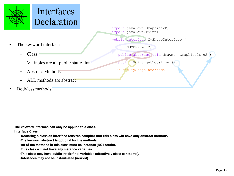

### Interfaces Declaration

- The keyword interface
	- Class
	- Variables are all public static final
	- Abstract Methods
	- ALL methods are abstract
- Bodyless methods

import java.awt.Graphics2D; import java.awt.Point; public interface MyShapeInterface {

int NUMBER =  $12;$ 

public abstract void drawme (Graphics2D g2);

public Point getLocation ();

} // end MyShapeInterface

The keyword interface can only be applied to a class.

Interface Class

➢Declaring a class an interface tells the compiler that this class will have only abstract methods

- $\triangleright$ The keyword abstract is optional for the methods.
- ➢All of the methods in this class must be instance (NOT static).
- ➢This class will not have any instance variables.
- ➢This class may have public static final variables (effectively class constants).
- ➢Interfaces may not be instantiated (new'ed).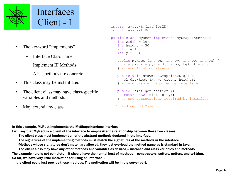

- The keyword "implements"
	- Interface Class name
	- Implement IF Methods
	- ALL methods are concrete
- This class may be instantiated
- The client class may have class-specific variables and methods
- May extend any class

```
import java.awt.Graphics2D;
import java.awt.Point;
public class MyRect implements MyShapeInterface {
   int width = 20:
   int height = 30;
   int x = 10;
   int y = 20;
    public MyRect (int px, int py, int pw, int ph) {
      x = px; y = py; width = pw; height = ph;
    } // end 4-int constructor
    public void drawme (Graphics2D g2) {
       g2.drawRect (x, y, width, height);
    } // end drawme, required by interface
    public Point getLocation () {
       return new Point (x, y);
    } // end getLocation, required by interface
```

```
} // end method MyRect
```
In this example, MyRect implements the MyShapeInterface interface..

I will say that MyRect is a client of the interface to emphasize the relationship between these two classes.

- ➢The client class must implement all of the abstract methods declared in the interface.
- ➢The signatures of the implementing methods must match the signatures of the methods in the interface.
- ➢Methods whose signatures don't match are allowed, they just overload the method name as is standard in Java.

➢The client class may have any other methods and variables as desired – instance and class variables and methods. The example here is not complete – it should have the normal host of methods – constructors, setters, getters, and toString. So far, we have very little motivation for using an interface –

the client could just provide these methods. The motivation will be in the server part.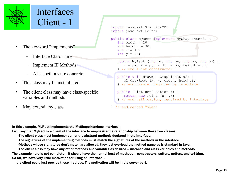

### Interfaces Client - 1

- The keyword "implements"
	- Interface Class name
	- Implement IF Methods
	- ALL methods are concrete
- This class may be instantiated
- The client class may have class-specific variables and methods
- May extend any class

```
import java.awt.Graphics2D;
import java.awt.Point;
```

```
public class MyRect implements MyShapeInterface
   int width = 20;
  int height = 30;
   int x = 10;
   int v = 20;
```

```
 public MyRect (int px, int py, int pw, int ph) {
   x = px; y = py; width = pw; height = ph;
 } // end 4-int constructor
```

```
 public void drawme (Graphics2D g2) {
    g2.drawRect (x, y, width, height);
 } // end drawme, required by interface
```

```
 public Point getLocation () {
    return new Point (x, y);
 } // end getLocation, required by interface
```

```
} // end method MyRect
```
In this example, MyRect implements the MyShapeInterface interface..

I will say that MyRect is a client of the interface to emphasize the relationship between these two classes.

- ➢The client class must implement all of the abstract methods declared in the interface.
- ➢The signatures of the implementing methods must match the signatures of the methods in the interface.
- ➢Methods whose signatures don't match are allowed, they just overload the method name as is standard in Java.

 $\triangleright$ The client class may have any other methods and variables as desired – instance and class variables and methods. The example here is not complete – it should have the normal host of methods – constructors, setters, getters, and toString. So far, we have very little motivation for using an interface –

the client could just provide these methods. The motivation will be in the server part.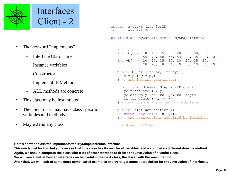

- The keyword "implements"
	- Interface Class name
	- Instance variables
	- Constructor
	- Implement IF Methods
	- ALL methods are concrete
- This class may be instantiated
- The client class may have class-specific variables and methods
- May extend any class

```
import java.awt.Graphics2D;
import java.awt.Point;
public class MyCar implements MyShapeInterface {
```

```
 int x, y;
int xb[] = \{ 0, 15, 15, 20, 20, 50, 50, 55, ... \} 55, 70, 80, 55, 53, 40, 35, 20, 0};
int yb[] = \{20, 20, 25, 25, 20, 20, 25, 25, 20, 20, 8, 6, 0, 0, 13, 16, 20};
```

```
 public MyCar (int px, int py) {
   x = px; y = py;
 } // end int int constructor
```

```
 public void drawme (Graphics2D g2) {
    g2.translate (x, y);
    g2.drawPolyline (xb, yb, xb.length);
   q2.translate (-x, -y);
 } // end drawme, required by interface
```

```
 public Point getLocation () {
    return new Point (x, y);
 } // end getLocation, required by interface
```

```
} // end method MyRect
```
Here's another class the implements the MyShapeInterface interface.

This one is just for fun, but you can see that this class has its own local variables, and a completely different drawme method. Again, we should complete the class with a lot of other methods to fit into the Java vision of a useful class. We will see a hint at how an interface can be useful in the next class, the driver with the main method. After that, we will look at some more complicated examples and try to get some appreciation for the Java vision of interfaces.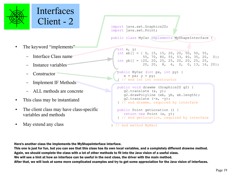

### Interfaces Client - 2

- The keyword "implements"
	- Interface Class name
	- Instance variables
	- Constructor
	- Implement IF Methods
	- ALL methods are concrete
- This class may be instantiated
- The client class may have class-specific variables and methods
- May extend any class

```
import java.awt.Graphics2D;
import java.awt.Point;
```
public class MyCar implements MyShapeInterface {

```
 int x, y;
int xb[] = \{ 0, 15, 15, 20, 20, 50, 50, 55, 55, 70, 80, 55, 53, 40, 35, 20, 0};
int yb[] = \{20, 20, 25, 25, 20, 20, 25, 25, 20, 20, 8, 6, 0, 0, 13, 16, 20};
```

```
 public MyCar (int px, int py) {
   x = px; y = py;
 // end int int constructor
```

```
 public void drawme (Graphics2D g2) {
    g2.translate (x, y);
    g2.drawPolyline (xb, yb, xb.length);
   q2.translate (-x, -y);
 } // end drawme, required by interface
```

```
 public Point getLocation () {
    return new Point (x, y);
 } // end getLocation, required by interface
```

```
// end method MyRect
```
Here's another class the implements the MyShapeInterface interface.

This one is just for fun, but you can see that this class has its own local variables, and a completely different drawme method. Again, we should complete the class with a lot of other methods to fit into the Java vision of a useful class. We will see a hint at how an interface can be useful in the next class, the driver with the main method. After that, we will look at some more complicated examples and try to get some appreciation for the Java vision of interfaces.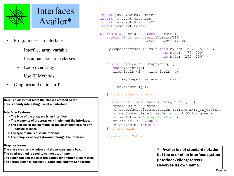

#### Interfaces Availer\*

- Program uses an interface
	- Interface array variable
	- Instantiate concrete classes
	- Loop over array
	- Use IF Methods
- Graphics and main stuff

Here is a class that tests the classes created so far. This is a fairly interesting use of an interface.

Interface Features:

- > The type of the array ma is an interface.
- > The elements of the array only implement the interface.
- > The classes of the elements of the array don't extend any particular class.
- > The type of mc is also an interface
- > The compiler accepts drawme through the interface

Graphics issues:

The class creates a window and draws cars and a box. The paint method is used to connect to Jframe.

The super call and the cast are details for another presentation. The serialVersion is because JFrame implements Serializable.

```
import javax.swing.JFrame;
import java.awt.Graphics;
import java.awt.Graphics2D;
import java.awt.Color;
public class MyMain extends JFrame {
   static final long serialVersionUID =
                       -456088894995242130L;
   MyShapeInterface \lceil \rceil ma = \{\text{new MyRect } (50, 225, 300, 7) \right) new MyCar ( 75, 200),
                               new MyCar (250, 200)};
    public void paint (Graphics g) {
      super.paint(q);
      Graphics2D q2 = (Graphics2D) q;
       for (MyShapeInterface mc : ma) 
         mc.drawme (g2);
    } // end standard paint
    public static void main (String args []) {
      MyMain mm = new MyMain ();
      mm.setDefaultCloseOperation (JFrame.EXIT ON CLOSE);
       mm.getContentPane().setBackground (Color.green);
       mm.setTitle ("The Application");
       mm.setSize (400,400);
       mm.setVisible(true);
    } // end main
```

```
} // end class MyMain
```
\* - Availer is not standard notation, but the user of an interface system (interface/client/server) Deserves its own name.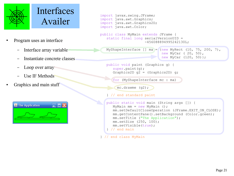

### Interfaces Availer

- Program uses an interface
	- Interface array variable
	- Instantiate concrete classes
	- Loop over array
	- Use IF Methods
- Graphics and main stuff

| The Application |  |
|-----------------|--|
|                 |  |

```
import javax.swing.JFrame;
import java.awt.Graphics;
import java.awt.Graphics2D;
import java.awt.Color;
public class MyMain extends JFrame {
    static final long serialVersionUID =
                       -456088894995242130L;
   MyShapeInterface [] ma = {new_M} MyRect (10, 75, 200, 7),
                               new MyCar ( 20, 50),
                              new MyCar (120, 50) };
    public void paint (Graphics g) {
       super.paint(g);
      Graphics2D q2 = (Graphics2D) q;
       for (MyShapeInterface mc : ma) 
         mc.drawme (g2);
    } // end standard paint
    public static void main (String args []) {
      MyMain mm = new MyMain ();
      mm.setDefaultCloseOperation (JFrame.EXIT ON CLOSE);
       mm.getContentPane().setBackground (Color.green);
       mm.setTitle ("The Application");
       mm.setSize (250, 100);
       mm.setVisible(true);
    } // end main
```
} // end class MyMain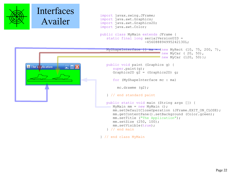

 $\triangle$  The Application

 $\Box$ o $\times$ 

```
import javax.swing.JFrame;
import java.awt.Graphics;
import java.awt.Graphics2D;
import java.awt.Color;
public class MyMain extends JFrame {
   static final long serialVersionUID =
                      -456088894995242130L;
   MyShapeInterface [] ma = {new MyRect (10, 75, 200, 7),
                               new MyCar ( 20, 50),
                             l new MyCar (120, 50);
    public void paint (Graphics g) {
       super.paint(g);
      Graphics2D q2 = (Graphics2D) q;
       for (MyShapeInterface mc : ma) 
         mc.drawme (g2);
    } // end standard paint
    public static void main (String args []) {
      MyMain mm = new MyMain ();
      mm.setDefaultCloseOperation (JFrame.EXIT ON CLOSE);
       mm.getContentPane().setBackground (Color.green);
       mm.setTitle ("The Application");
       mm.setSize (250, 100);
       mm.setVisible(true);
    } // end main
```
} // end class MyMain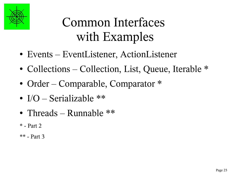

# Common Interfaces with Examples

- Events EventListener, ActionListener
- Collections Collection, List, Queue, Iterable \*
- Order Comparable, Comparator  $*$
- $I/O 6$  Serializable  $**$
- Threads Runnable \*\*
- \* Part 2
- \*\* Part 3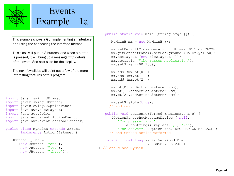

### Events Example – 1a

This example shows a GUI implementing an interface, and using the connecting the interface method.

This class will put up 3 buttons, and when a button is pressed, it will bring up a message with details of the event. See next slide for the display.

The next few slides will point out a few of the more interesting features of this program.

```
import javax.swing.JFrame;
import javax.swing.JButton;
import javax.swing.JOptionPane;
import java.awt.FlowLayout;
import java.awt.Color;
import java.awt.event.ActionEvent;
import java.awt.event.ActionListener;
```

```
public class MyMainB extends JFrame
        implements ActionListener {
```

```
 JButton [] bt = 
    {new JButton ("one"),
    new JButton ("two"),
    new JButton ("three") };
```

```
MyMainB mm = new MyMainB ();
```

```
mm.setDefaultCloseOperation (JFrame.EXIT ON CLOSE);
mm.\text{getContentPlane}).setBackground (Color.yellow);
 mm.setLayout (new FlowLayout ());
 mm.setTitle ("The Button Application");
 mm.setSize (400,100);
```

```
 mm.add (mm.bt[0]);
 mm.add (mm.bt[1]);
 mm.add (mm.bt[2]);
```

```
 mm.bt[0].addActionListener (mm);
 mm.bt[1].addActionListener (mm);
 mm.bt[2].addActionListener (mm);
```

```
 mm.setVisible(true);
 } // end main
```

```
 public void actionPerformed (ActionEvent e) {
    JOptionPane.showMessageDialog ( null,
       "You pressed:\n\n" + 
          e.toString().replace(', ', ', \ln'),
       "The Answer", JOptionPane.INFORMATION_MESSAGE);
 } // end method actionPerformed
```

```
static final long serialVersionUID =
                   -7353858170081248L;
```

```
} // end class MyMain
```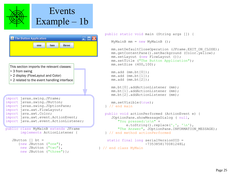

| The Button Application |     |     |       |  |
|------------------------|-----|-----|-------|--|
|                        | one | two | three |  |
|                        |     |     |       |  |

This section imports the relevant classes:

- > 3 from swing
- > 2 display (FlowLayout and Color)
- > 2 related to the event handling interface

```
import javax.swing.JFrame;
import javax.swing.JButton;
import javax.swing.JOptionPane;
import java.awt.FlowLayout;
import java.awt.Color;
import java.awt.event.ActionEvent;
import java.awt.event.ActionListener;
```

```
public class MyMainB extends JFrame
        implements ActionListener {
```

```
 JButton [] bt = 
    {new JButton ("one"),
     new JButton ("two"),
    new JButton ("three") };
```

```
MyMainB mm = new MyMainB ();
```

```
mm.setDefaultCloseOperation (JFrame.EXIT ON CLOSE);
mm.\text{getContentPlane}).setBackground (Color.yellow);
 mm.setLayout (new FlowLayout ());
 mm.setTitle ("The Button Application");
 mm.setSize (400,100);
```

```
 mm.add (mm.bt[0]);
 mm.add (mm.bt[1]);
 mm.add (mm.bt[2]);
```

```
 mm.bt[0].addActionListener (mm);
 mm.bt[1].addActionListener (mm);
```

```
 mm.bt[2].addActionListener (mm);
```

```
 mm.setVisible(true);
 } // end main
```

```
 public void actionPerformed (ActionEvent e) {
    JOptionPane.showMessageDialog ( null,
       "You pressed:\n\n" + 
          e.toString().replace(', ', ', \ln'),
       "The Answer", JOptionPane.INFORMATION_MESSAGE);
 } // end method actionPerformed
```

```
static final long serialVersionUID =
                   -7353858170081248L;
```

```
} // end class MyMain
```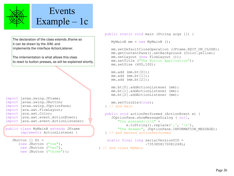

۹

### Events Example – 1c

The declaration of the class extends Jframe so it can be drawn by the JVM, and implements the interface ActionListener.

The imlementation is what allows this class to react to button presses, as will be explained shortly.

```
import javax.swing.JFrame;
import javax.swing.JButton;
import javax.swing.JOptionPane;
import java.awt.FlowLayout;
import java.awt.Color;
import java.awt.event.ActionEvent;
import java.awt.event.ActionListener;
```

```
public class MyMainB extends JFrame
        implements ActionListener {
```

```
 JButton [] bt = 
    {new JButton ("one"),
     new JButton ("two"),
    new JButton ("three") };
```

```
MyMainB mm = new MyMainB ();
```

```
mm.setDefaultCloseOperation (JFrame.EXIT ON CLOSE);
 mm.getContentPane().setBackground (Color.yellow);
 mm.setLayout (new FlowLayout ());
 mm.setTitle ("The Button Application");
 mm.setSize (400,100);
```

```
 mm.add (mm.bt[0]);
 mm.add (mm.bt[1]);
 mm.add (mm.bt[2]);
```

```
 mm.bt[0].addActionListener (mm);
 mm.bt[1].addActionListener (mm);
 mm.bt[2].addActionListener (mm);
```

```
 mm.setVisible(true);
 } // end main
```

```
 public void actionPerformed (ActionEvent e) {
    JOptionPane.showMessageDialog ( null,
       "You pressed:\n\n" + 
          e.toString().replace(', ', ', \ln'),
       "The Answer", JOptionPane.INFORMATION_MESSAGE);
 } // end method actionPerformed
```

```
 static final long serialVersionUID =
                   -7353858170081248L;
```

```
} // end class MyMain
```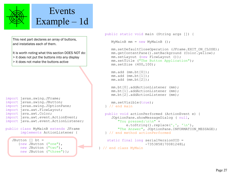

### Events Example – 1d

This next part declares an array of buttons, and instatiates each of them.

It is worth noting what this section DOES NOT do:  $\geq$  it does not put the buttons into any display

> it does not make the buttons active

```
import javax.swing.JFrame;
import javax.swing.JButton;
import javax.swing.JOptionPane;
import java.awt.FlowLayout;
import java.awt.Color;
import java.awt.event.ActionEvent;
import java.awt.event.ActionListener;
```
public class MyMainB extends JFrame implements ActionListener {

```
 JButton [] bt = 
    {new JButton ("one"),
     new JButton ("two"),
    new JButton ("three") };
```

```
MyMainB mm = new MyMainB ();
```

```
mm.setDefaultCloseOperation (JFrame.EXIT ON CLOSE);
 mm.getContentPane().setBackground (Color.yellow);
 mm.setLayout (new FlowLayout ());
 mm.setTitle ("The Button Application");
 mm.setSize (400,100);
```

```
 mm.add (mm.bt[0]);
 mm.add (mm.bt[1]);
 mm.add (mm.bt[2]);
```

```
 mm.bt[0].addActionListener (mm);
 mm.bt[1].addActionListener (mm);
 mm.bt[2].addActionListener (mm);
```

```
 mm.setVisible(true);
 } // end main
```

```
 public void actionPerformed (ActionEvent e) {
    JOptionPane.showMessageDialog ( null,
       "You pressed:\n\n" + 
          e.toString().replace(', ', ', \ln'),
       "The Answer", JOptionPane.INFORMATION_MESSAGE);
 } // end method actionPerformed
```

```
 static final long serialVersionUID =
                   -7353858170081248L;
```

```
} // end class MyMain
```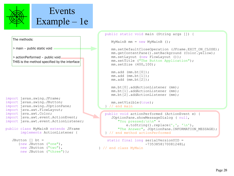

## Events Example – 1e

|                                                                | public static void main (String args []) {                       |  |
|----------------------------------------------------------------|------------------------------------------------------------------|--|
|                                                                |                                                                  |  |
| The methods:                                                   | MyMainB mm = new MyMainB $()$ ;                                  |  |
| > main - public static void                                    | mm.setDefaultCloseOperation (JFrame.EXIT ON CLOSE);              |  |
|                                                                | mm.getContentPane().setBackground (Color.yellow);                |  |
| > actionPerformed - public void                                | mm.setLayout (new FlowLayout ());                                |  |
| THIS is the method specified by the interface                  | mm.setTitle ("The Button Application");<br>mm.setSize (400,100); |  |
|                                                                | mm.add (mm.bt[0]);                                               |  |
|                                                                | mm.add (mm.bt[1]);                                               |  |
|                                                                | $mm.add (mm.bt[2])$ ;                                            |  |
|                                                                | mm.bt[0].addActionListener (mm);                                 |  |
|                                                                | mm.bt[1].addActionListener (mm);                                 |  |
|                                                                | mm.bt[2].addActionListener (mm);                                 |  |
| import javax.swing.JFrame;                                     |                                                                  |  |
| import javax.swing.JButton;                                    | mm.setVisible(true);                                             |  |
| import javax.swing.JOptionPane;<br>import java.awt.FlowLayout; | $\frac{1}{2}$ // end main                                        |  |
| import java.awt.Color;                                         | public void actionPerformed (ActionEvent e) {                    |  |
| import java.awt.event.ActionEvent;                             | JOptionPane.showMessageDialog ( null,                            |  |
| import java.awt.event.ActionListener;                          | "You pressed: $\ln \ln$ " +                                      |  |
|                                                                | e.toString().replace(',', '\n'),                                 |  |
| public class MyMainB extends JFrame                            | "The Answer", JOptionPane. INFORMATION MESSAGE);                 |  |
| implements ActionListener {                                    | } // end method actionPerformed                                  |  |
| JButton $\lceil \cdot \rceil$ bt =                             | static final long serialVersionUID =                             |  |
| {new JButton ("one"),                                          | $-7353858170081248L;$                                            |  |
| new JButton ("two"),<br>new JButton ("three") };               | } // end class MyMain                                            |  |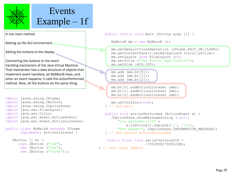

### Events Example – 1f

In the main method

Setting up the GUI environment

Adding the buttons to the display

Connecting the buttons to the event handling mechanism of the Java Virtual Machine. That mechanism has a data structure of objects that implement event handlers, as MyMainB does, and when an event happens, it calls the actionPerformed method. Here, all the buttons do the same thing.

```
import javax.swing.JFrame;
import javax.swing.JButton;
import javax.swing.JOptionPane;
import java.awt.FlowLayout;
import java.awt.Color;
import java.awt.event.ActionEvent;
import java.awt.event.ActionListener;
```

```
public class MyMainB extends JFrame
        implements ActionListener {
```

```
 JButton [] bt = 
    {new JButton ("one"),
     new JButton ("two"),
    new JButton ("three") };
```

```
MyMainB mm = new MyMainB ();
```

```
mm.setDefaultCloseOperation (JFrame.EXIT ON CLOSE);
 mm.getContentPane().setBackground (Color.yellow);
 mm.setLayout (new FlowLayout ());
 mm.setTitle ("The Button Application");
 mm.setSize (400,100);
```

```
 mm.add (mm.bt[0]);
 mm.add (mm.bt[1]);
 mm.add (mm.bt[2]);
```

```
 mm.bt[0].addActionListener (mm);
 mm.bt[1].addActionListener (mm);
 mm.bt[2].addActionListener (mm);
```

```
 mm.setVisible(true);
 } // end main
```

```
 public void actionPerformed (ActionEvent e) {
    JOptionPane.showMessageDialog ( null,
       "You pressed:\n\n" + 
          e.toString().replace(', ', ', \ln'),
      "The Answer", JOptionPane.INFORMATION MESSAGE);
 } // end method actionPerformed
```

```
 static final long serialVersionUID =
                   -7353858170081248L;
```

```
} // end class MyMain
```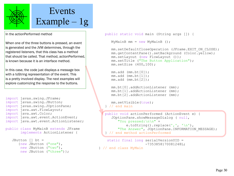

In the actionPerformed method

When one of the three buttons is pressed, an event is generated and the JVM determines, through the registered listeners, that this class has a method that should be called. That method, actionPerformed, is known because it is an interface method.

In this case, the code just displays a message box with a toString representation of the event. This is a pretty involved display. The next examples will explore customizing the response to the buttons.

```
import javax.swing.JFrame;
import javax.swing.JButton;
import javax.swing.JOptionPane;
import java.awt.FlowLayout;
import java.awt.Color;
import java.awt.event.ActionEvent;
import java.awt.event.ActionListener;
```

```
public class MyMainB extends JFrame
        implements ActionListener {
```

```
 JButton [] bt = 
    {new JButton ("one"),
     new JButton ("two"),
    new JButton ("three") };
```

```
 public static void main (String args []) {
```

```
MyMainB mm = new MyMainB ();
```

```
mm.setDefaultCloseOperation (JFrame.EXIT ON CLOSE);
 mm.getContentPane().setBackground (Color.yellow);
 mm.setLayout (new FlowLayout ());
 mm.setTitle ("The Button Application");
 mm.setSize (400,100);
```

```
 mm.add (mm.bt[0]);
 mm.add (mm.bt[1]);
 mm.add (mm.bt[2]);
```

```
 mm.bt[0].addActionListener (mm);
 mm.bt[1].addActionListener (mm);
 mm.bt[2].addActionListener (mm);
```

```
 mm.setVisible(true);
 } // end main
```

```
 public void actionPerformed (ActionEvent e) {
    JOptionPane.showMessageDialog ( null,
       "You pressed:\n\n" + 
          e.toString().replace(', ', ', \ln'),
      "The Answer", JOptionPane.INFORMATION MESSAGE);
 } // end method actionPerformed
```

```
 static final long serialVersionUID =
                    -7353858170081248L;
```

```
} // end class MyMain
```
₹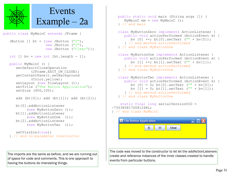

The imports are the same as before, and we are running out of space for code and comments. This is one approach to having the buttons do interesting things.

```
 public static void main (String args []) {
      MyMainC mm = new MyMainC ();
    } // end main
    class MyButtonZero implements ActionListener {
       public void actionPerformed (ActionEvent e) {
         by [0] ++; bt[0].setText ("" + by [0]);
       } // end method actionPerformed
    } // end class MyButtonOne
    class MyButtonOne implements ActionListener {
       public void actionPerformed (ActionEvent e) {
         by [1] ++; bt[1].setText ("" + by [1]);
       } // end method actionPerformed
    } // end class MyButtonOne
    class MyButtonTwo implements ActionListener {
       public void actionPerformed (ActionEvent e) {
         by [0] = 0; bt[0].setText ("" + by[0]);
         bv [1] = 0; bt[1].setText ("" + by[1]);
       } // end method actionPerformed
    } // end class MyButtonOne
     static final long serialVersionUID = 
-7353858170081248L;
} // end class MyMainC
                                       \square\square\timesS The Button Application
```
The code was moved to the constructor to let let the addActionListeners create and reference instances of the inner classes created to handle

Clear

 $17$ 

events from particular buttons.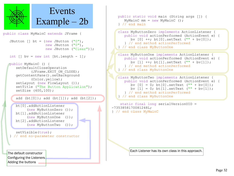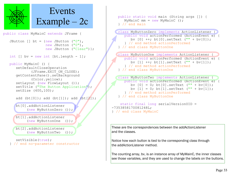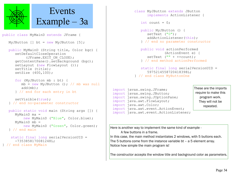

```
import javax.swing.JFrame;
                                        These are the imports 
          class MyJButton extends JButton 
                  implements ActionListener {
              int count = 0:
              public MyJButton () {
                 setText ("0");
                 addActionListener(this);
              } // end no parameter constructor
              public void actionPerformed 
                          (ActionEvent e) {
                 setText ("" + ++count);
               } // end method actionPerformed
             static final long serialVersionUID =
                  5975214558720418398L;
           } // end class MyButtonOne
```

```
import javax.swing.JButton;
import javax.swing.JOptionPane;
import java.awt.FlowLayout;
import java.awt.Color;
import java.awt.event.ActionEvent;
import java.awt.event.ActionListener;
```
require to make this program work. They will not be repeated.

Here is another way to implement the same kind of example - A few buttons in a frame.

In this case, the main method instantiates 2 windows, with 5 buttons each. The 5 buttons come from the instance variable bt – a 5 element array. Notice how simple the main program is!

The constructor accepts the window title and background color as parameters.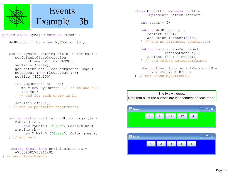

public class MyMainD extends JFrame {

```
MyJButton \lceil \cdot \rceil bt = new MyJButton \lceil 5 \rceil;
```

```
 public MyMainD (String title, Color bgc) {
    setDefaultCloseOperation
        (JFrame.EXIT ON CLOSE);
   setTitle (title);
    getContentPane().setBackground (bgc);
   setLayout (new FlowLayout ());
    setSize (400,100);
```

```
 for (MyJButton mb : bt) {
   mb = new MyJButton (); // mb was null
    add(mb);
 } // end for each entry in bt
```

```
 setVisible(true);
 } // end no-parameter constructor
```

```
 public static void main (String args []) {
    MyMainD ma = 
        new MyMainD ("Blue", Color.blue);
   MyMainD mb =
        new MyMainD ("Green", Color.green);
 } // end main
```

```
 static final long serialVersionUID = 
       -7353858170081248L;
} // end class MyMain
```

```
class MyJButton extends JButton 
       implements ActionListener {
   int count = 0:
    public MyJButton () {
      setText ("0"):
       addActionListener(this);
    } // end no parameter constructor
    public void actionPerformed 
               (ActionEvent e) {
      setText ("" + ++count);
    } // end method actionPerformed
   static final long serialVersionUID =
       5975214558720418398L;
```

```
} // end class MyButtonOne
```
The two windows. Note that all of the buttons are independent of each other.

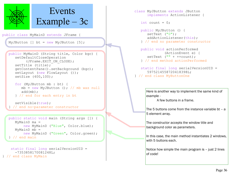

```
} // end class MyMain
```

```
class MyJButton extends JButton 
       implements ActionListener {
   int count = 0:
    public MyJButton () {
      setText ("0"):
       addActionListener(this);
    } // end no parameter constructor
    public void actionPerformed 
               (ActionEvent e) {
      setText ("" + ++count);
    } // end method actionPerformed
   static final long serialVersionUID =
       5975214558720418398L;
} // end class MyButtonOne
```
Here is another way to implement the same kind of example -

A few buttons in a frame.

The 5 buttons come from the instance variable bt – a 5 element array.

The constructor accepts the window title and background color as parameters.

In this case, the main method instantiates 2 windows, with 5 buttons each.

Notice how simple the main program is – just 2 lines of code!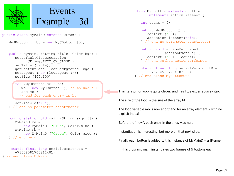

public class MyMainD extends JFrame {

```
MyJButton \lceil \cdot \rceil bt = new MyJButton \lceil 5 \rceil;
```

```
 public MyMainD (String title, Color bgc) {
    setDefaultCloseOperation
        (JFrame.EXIT ON CLOSE);
   setTitle (title);
    getContentPane().setBackground (bgc);
   setLayout (new FlowLayout ());
    setSize (400,100);
```

```
 for (MyJButton mb : bt) {
  mb = new MyJButton (); // mb was null
    add(mb);
 } // end for each entry in bt
```

```
 setVisible(true);
 } // end no-parameter constructor
```

```
 public static void main (String args []) {
    MyMainD ma = 
        new MyMainD ("Blue", Color.blue);
   MyMainD mb =
        new MyMainD ("Green", Color.green);
 } // end main
```

```
 static final long serialVersionUID = 
       -7353858170081248L;
} // end class MyMain
```

```
class MyJButton extends JButton 
       implements ActionListener {
   int count = 0:
    public MyJButton () {
      setText ("0");
      addActionListener(this);
    } // end no parameter constructor
    public void actionPerformed 
               (ActionEvent e) {
      setText ("" + ++count);
    } // end method actionPerformed
   static final long serialVersionUID =
       5975214558720418398L;
```

```
} // end class MyButtonOne
```
This iterator for loop is quite clever, and has little extraneous syntax.

The size of the loop is the size of the array bt.

The loop variable mb is now shorthand for an array element – with no explicit index!

Before the "new", each entry in the array was null.

Instantiation is interesting, but more on that next slide.

Finally each button is added to this instance of MyMainD – a JFrame..

In this program, main instantiates two frames of 5 buttons each.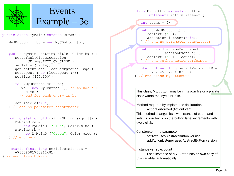

public class MyMainD extends JFrame {

```
MyJButton \lceil \cdot \rceil bt = new MyJButton \lceil 5 \rceil;
```

```
 public MyMainD (String title, Color bgc) {
    setDefaultCloseOperation
        (JFrame.EXIT ON CLOSE);
   setTitle (title);
    getContentPane().setBackground (bgc);
   setLayout (new FlowLayout ());
    setSize (400,100);
```

```
 for (MyJButton mb : bt) {
   mb = new MyJButton (); // mb was null
    add(mb);
 } // end for each entry in bt
```

```
 setVisible(true);
 } // end no-parameter constructor
```

```
 public static void main (String args []) {
    MyMainD ma = 
        new MyMainD ("Blue", Color.blue);
   MyMainD mb =
        new MyMainD ("Green", Color.green);
 } // end main
```

```
 static final long serialVersionUID = 
       -7353858170081248L;
} // end class MyMain
```
class MyJButton extends JButton implements ActionListener {

int count =  $0$ ;

 $\mathcal{L}$ 

Γ

 public MyJButton () { setText  $("0")$ ; addActionListener(this); } // end no parameter constructor

 public void actionPerformed (ActionEvent e) { setText ("" + ++count); } // end method actionPerformed

 static final long serialVersionUID = 5975214558720418398L; } // end class MyButtonOne

This class, MyJButton, may be in its own file or a private class within the MyMainD file.

Method required by implements declaration – actionPerformed (ActionEvent) This method changes its own instance of count and sets its own text – so the button label increments with every click.

Constructor – no parameter

setText uses AbstractButton version addActionListener uses AbstractButton version

Instance variable: count

Each instance of MyJButton has its own copy of this variable, automatically.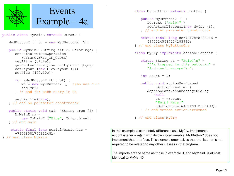

```
} // end class MyMain
```

```
 public MyJButton2 () {
   setText ("Help!");
    addActionListener(new MyCry ());
 } // end no parameter constructor
```

```
 static final long serialVersionUID = 
       5975214558720418398L;
} // end class MyButtonOne
```
class MyCry implements ActionListener {

```
static String st = "Help!\n\ln" +
    "I'm trapped in this button\n" + 
   "And can't escape!\n";
```
int count  $= 0$ :

```
 public void actionPerformed 
        (ActionEvent e) {
   JoptionPane.showMessageDialog
        (null,
        st + ++count,
        "Help! Help!",
        JOptionPane.WARNING_MESSAGE);
 } // end method actionPerformed
```
} // end class MyCry

In this example, a completely different class, MyCry, implements ActionListener – again with its own local variable. MyJButton2 does not implement that interface. This example emphasizes that the listener is not required to be related to any other classes in the program.

The imports are the same as those in example 3, and MyMainE is almost identical to MyMainD.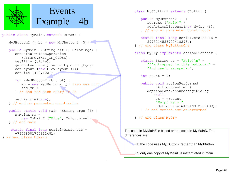

```
 public MyJButton2 () {
   setText ("Help!");
   addActionListener(new MyCry ());
 } // end no parameter constructor
```

```
 static final long serialVersionUID = 
       5975214558720418398L;
} // end class MyButtonOne
```
class MyCry implements ActionListener {

```
static String st = "Help!\n\ln" +
    "I'm trapped in this button\n" + 
   "And can't escape!\n";
```
int count =  $0$ ;

```
 public void actionPerformed 
        (ActionEvent e) {
   JoptionPane.showMessageDialog
        (null,
        st + ++count,
        "Help! Help!",
        JOptionPane.WARNING_MESSAGE);
 } // end method actionPerformed
```
} // end class MyCry

The code in MyMainE is based on the code in MyMainD. The differences are:

(a) the code uses MyJButton2 rather than MyJButton

(b) only one copy of MyMainE is instantiated in main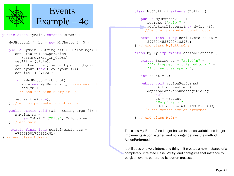

 public MyJButton2 () { setText ("Help!"); addActionListener(new MyCry ()); } // end no parameter constructor

 static final long serialVersionUID = 5975214558720418398L; } // end class MyButtonOne

class MyCry implements ActionListener {

static String st = "Help! $\n\ln$ " + "I'm trapped in this button\n" + "And can't escape!\n";

int count =  $0$ ;

```
 public void actionPerformed 
        (ActionEvent e) {
   JoptionPane.showMessageDialog
        (null,
        st + ++count,
        "Help! Help!",
        JOptionPane.WARNING_MESSAGE);
 } // end method actionPerformed
```
} // end class MyCry

The class MyJButton2 no longer has an instance variable, no longer implements ActionListener, and no longer defines the method ActionPerformed.

It still does one very interesting thing – it creates a new instance of a completely unrelated class, MyCry, and configures that instance to be given events generated by button presses.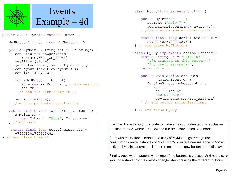

```
 public MyJButton2 () {
   setText ("Help!");
    addActionListener(new MyCry ());
 } // end no parameter constructor
```

```
static final long serialVersionUID =
       5975214558720418398L;
} // end class MyJButton2
```

```
class MyCry implements ActionListener {
   static String st = "Help!\n \begin{cases} \n n^m + n^m \n \end{cases} "I'm trapped in this button\n" + 
       "And can't escape!\n";
   int count = 0;
```

```
 public void actionPerformed 
        (ActionEvent e) {
    JoptionPane.showMessageDialog
        (null,
        st + ++count,
        "Help! Help!",
        JOptionPane.WARNING_MESSAGE);
 } // end method actionPerformed
```
} // end class MyCry

Exercise: Trace through this code to make sure you understand what classes are instantiated, where, and how the run-time connections are made.

Start with main, then instantiate a copy of MyMainE, go through the constructor, create instances of MyJButton2, create a new instance of MyCry, activate by using addActionListener, then add the new button to the display.

Finally, trace what happens when one of the buttons is pressed. And make sure you understand how the dialogs change when pressing the different buttons.